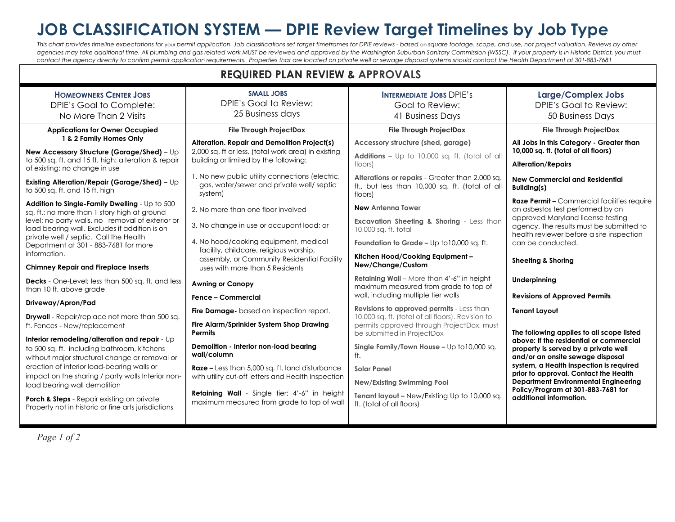## **JOB CLASSIFICATION SYSTEM — DPIE Review Target Timelines by Job Type**

**REQUIRED PLAN REVIEW & APPROVALS**

This chart provides timeline expectations for your permit application. Job classifications set target timeframes for DPIE reviews - based on square footage. scope, and use, not project valuation. Reviews by other agencies may take additional time. All plumbing and gas related work MUST be reviewed and approved by the Washington Suburban Sanitary Commission (WSSC). If your property is in Historic District, you must *contact the agency directly to confirm permit application requirements. Properties that are located on private well or sewage disposal systems should contact the Health Department at 301-883-7681*

| <b>REQUIRED PLAN REVIEW &amp; APPROVALS</b>                                                                                                                                                                                          |                                                                                                         |                                                                                                                                                    |                                                                                                                                                                                    |  |
|--------------------------------------------------------------------------------------------------------------------------------------------------------------------------------------------------------------------------------------|---------------------------------------------------------------------------------------------------------|----------------------------------------------------------------------------------------------------------------------------------------------------|------------------------------------------------------------------------------------------------------------------------------------------------------------------------------------|--|
| <b>HOMEOWNERS CENTER JOBS</b><br>DPIE's Goal to Complete:<br>No More Than 2 Visits                                                                                                                                                   | <b>SMALL JOBS</b><br>DPIE's Goal to Review:<br>25 Business days                                         | <b>INTERMEDIATE JOBS DPIE'S</b><br>Goal to Review:<br>41 Business Days                                                                             | <b>Large/Complex Jobs</b><br>DPIE's Goal to Review:<br>50 Business Days                                                                                                            |  |
| <b>Applications for Owner Occupied</b>                                                                                                                                                                                               | <b>File Through ProjectDox</b>                                                                          | File Through ProjectDox                                                                                                                            | <b>File Through ProjectDox</b>                                                                                                                                                     |  |
| 1 & 2 Family Homes Only                                                                                                                                                                                                              | Alteration. Repair and Demolition Project(s)                                                            | Accessory structure (shed, garage)                                                                                                                 | All Jobs in this Category - Greater than                                                                                                                                           |  |
| New Accessory Structure (Garage/Shed) - Up<br>to 500 sq. ft. and 15 ft. high: alteration & repair<br>of existing: no change in use                                                                                                   | 2,000 sq. ft or less. (total work area) in existing<br>building or limited by the following:            | Additions - Up to 10,000 sq. ft. (total of all<br>floors)                                                                                          | 10,000 sq. ft. (total of all floors)<br><b>Alteration/Repairs</b>                                                                                                                  |  |
| Existing Alteration/Repair (Garage/Shed) - Up<br>to 500 sq. ft. and 15 ft. high                                                                                                                                                      | 1. No new public utility connections (electric,<br>gas, water/sewer and private well/ septic<br>system) | Alterations or repairs - Greater than 2,000 sq.<br>ft., but less than 10,000 sq. ft. (total of all<br>floors)                                      | <b>New Commercial and Residential</b><br>Building(s)                                                                                                                               |  |
| Addition to Single-Family Dwelling - Up to 500                                                                                                                                                                                       |                                                                                                         | <b>New Antenna Tower</b>                                                                                                                           | Raze Permit - Commercial facilities require                                                                                                                                        |  |
| sq. ft.: no more than 1 story high at ground<br>level: no party walls. no removal of exterior or<br>load bearing wall. Excludes if addition is on<br>private well / septic. Call the Health<br>Department at 301 - 883-7681 for more | 2. No more than one floor involved                                                                      |                                                                                                                                                    | an asbestos test performed by an<br>approved Maryland license testing<br>agency. The results must be submitted to<br>health reviewer before a site inspection<br>can be conducted. |  |
|                                                                                                                                                                                                                                      | 3. No change in use or occupant load; or                                                                | <b>Excavation Sheeting &amp; Shoring - Less than</b><br>10,000 sq. ft. total                                                                       |                                                                                                                                                                                    |  |
|                                                                                                                                                                                                                                      | 4. No hood/cooking equipment, medical                                                                   | Foundation to Grade - Up to 10,000 sq. ft.                                                                                                         |                                                                                                                                                                                    |  |
| information.                                                                                                                                                                                                                         | facility, childcare, religious worship,<br>assembly, or Community Residential Facility                  | Kitchen Hood/Cooking Equipment -                                                                                                                   | <b>Sheeting &amp; Shoring</b>                                                                                                                                                      |  |
| <b>Chimney Repair and Fireplace Inserts</b>                                                                                                                                                                                          | uses with more than 5 Residents                                                                         | New/Change/Custom                                                                                                                                  |                                                                                                                                                                                    |  |
| Decks - One-Level; less than 500 sq. ft. and less<br>than 10 ft. above grade                                                                                                                                                         | <b>Awning or Canopy</b>                                                                                 | Retaining Wall - More than 4'-6" in height<br>maximum measured from grade to top of                                                                | Underpinning                                                                                                                                                                       |  |
| Driveway/Apron/Pad                                                                                                                                                                                                                   | <b>Fence - Commercial</b>                                                                               | wall, including multiple tier walls                                                                                                                | <b>Revisions of Approved Permits</b>                                                                                                                                               |  |
| Drywall - Repair/replace not more than 500 sq.<br>ft. Fences - New/replacement                                                                                                                                                       | Fire Damage-based on inspection report.                                                                 | <b>Revisions to approved permits</b> - Less than<br>10.000 sq. ft. (total of all floors). Revision to<br>permits approved through ProjectDox, must | <b>Tenant Layout</b>                                                                                                                                                               |  |
|                                                                                                                                                                                                                                      | Fire Alarm/Sprinkler System Shop Drawing<br><b>Permits</b>                                              |                                                                                                                                                    | The following applies to all scope listed                                                                                                                                          |  |
| Interior remodeling/alteration and repair - Up                                                                                                                                                                                       | Demolition - Interior non-load bearing                                                                  | be submitted in ProjectDox                                                                                                                         | above: If the residential or commercial                                                                                                                                            |  |
| to 500 sq. ft. including bathroom, kitchens<br>without major structural change or removal or                                                                                                                                         | wall/column                                                                                             | Single Family/Town House - Up to 10,000 sq.<br>ft.                                                                                                 | property is served by a private well<br>and/or an onsite sewage disposal                                                                                                           |  |
| erection of interior load-bearing walls or                                                                                                                                                                                           | Raze - Less than 5,000 sq. ft. land disturbance                                                         | <b>Solar Panel</b>                                                                                                                                 | system, a Health inspection is required<br>prior to approval. Contact the Health                                                                                                   |  |
| impact on the sharing / party walls Interior non-<br>load bearing wall demolition                                                                                                                                                    | with utility cut-off letters and Health Inspection                                                      | <b>New/Existing Swimming Pool</b>                                                                                                                  | <b>Department Environmental Engineering</b>                                                                                                                                        |  |
| Porch & Steps - Repair existing on private<br>Property not in historic or fine arts jurisdictions                                                                                                                                    | Retaining Wall - Single tier; 4'-6" in height<br>maximum measured from grade to top of wall             | Tenant layout - New/Existing Up to 10,000 sq.<br>ft. (total of all floors)                                                                         | Policy/Program at 301-883-7681 for<br>additional information.                                                                                                                      |  |
|                                                                                                                                                                                                                                      |                                                                                                         |                                                                                                                                                    |                                                                                                                                                                                    |  |

*Page 1 of 2*